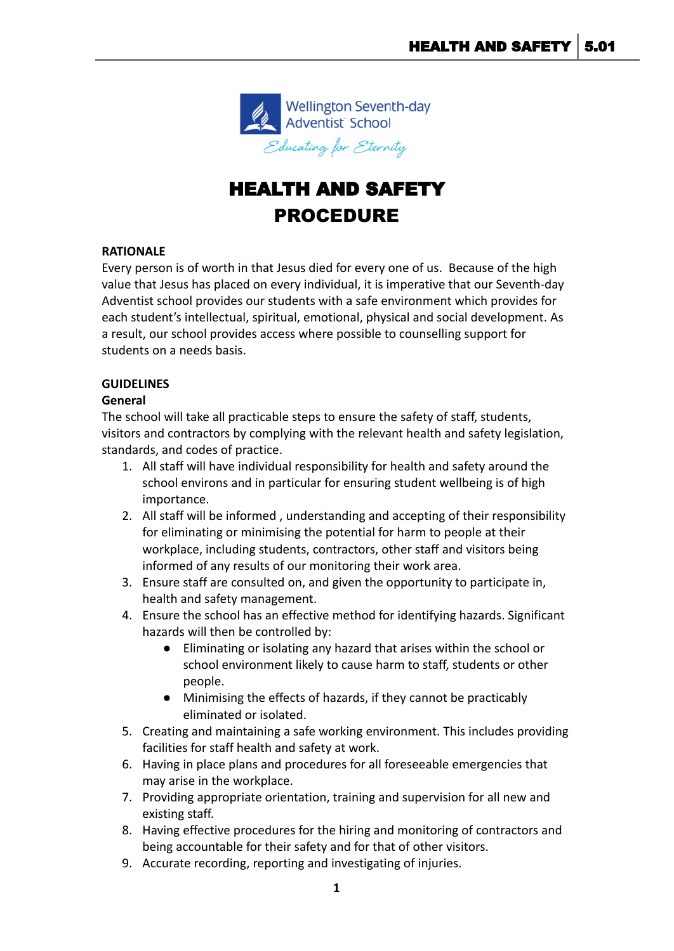

## HEALTH AND SAFETY PROCEDURE

## **RATIONALE**

Every person is of worth in that Jesus died for every one of us. Because of the high value that Jesus has placed on every individual, it is imperative that our Seventh-day Adventist school provides our students with a safe environment which provides for each student's intellectual, spiritual, emotional, physical and social development. As a result, our school provides access where possible to counselling support for students on a needs basis.

## **GUIDELINES**

## **General**

The school will take all practicable steps to ensure the safety of staff, students, visitors and contractors by complying with the relevant health and safety legislation, standards, and codes of practice.

- 1. All staff will have individual responsibility for health and safety around the school environs and in particular for ensuring student wellbeing is of high importance.
- 2. All staff will be informed , understanding and accepting of their responsibility for eliminating or minimising the potential for harm to people at their workplace, including students, contractors, other staff and visitors being informed of any results of our monitoring their work area.
- 3. Ensure staff are consulted on, and given the opportunity to participate in, health and safety management.
- 4. Ensure the school has an effective method for identifying hazards. Significant hazards will then be controlled by:
	- Eliminating or isolating any hazard that arises within the school or school environment likely to cause harm to staff, students or other people.
	- Minimising the effects of hazards, if they cannot be practicably eliminated or isolated.
- 5. Creating and maintaining a safe working environment. This includes providing facilities for staff health and safety at work.
- 6. Having in place plans and procedures for all foreseeable emergencies that may arise in the workplace.
- 7. Providing appropriate orientation, training and supervision for all new and existing staff.
- 8. Having effective procedures for the hiring and monitoring of contractors and being accountable for their safety and for that of other visitors.
- 9. Accurate recording, reporting and investigating of injuries.